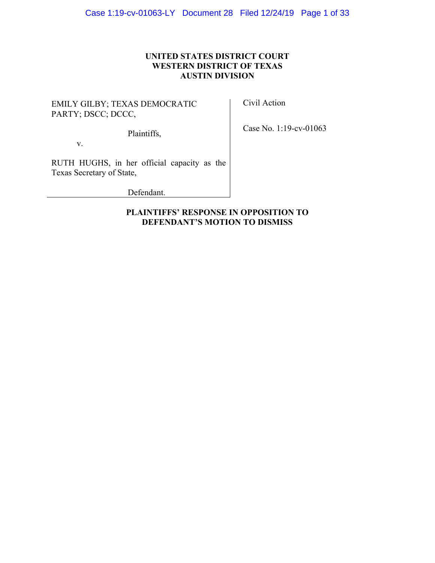## **UNITED STATES DISTRICT COURT WESTERN DISTRICT OF TEXAS AUSTIN DIVISION**

EMILY GILBY; TEXAS DEMOCRATIC PARTY; DSCC; DCCC,

Civil Action

Plaintiffs,

Case No. 1:19-cv-01063

v.

RUTH HUGHS, in her official capacity as the Texas Secretary of State,

Defendant.

## **PLAINTIFFS' RESPONSE IN OPPOSITION TO DEFENDANT'S MOTION TO DISMISS**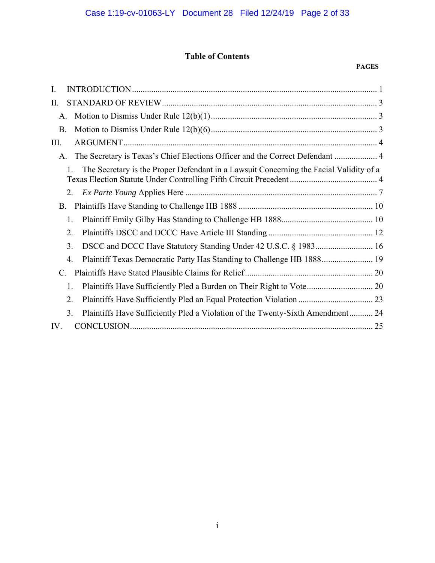## **Table of Contents**

#### **PAGES**

| Ι.                                                                                           |
|----------------------------------------------------------------------------------------------|
| II.                                                                                          |
| А.                                                                                           |
| <b>B.</b>                                                                                    |
| III.                                                                                         |
| The Secretary is Texas's Chief Elections Officer and the Correct Defendant  4<br>A.          |
| The Secretary is the Proper Defendant in a Lawsuit Concerning the Facial Validity of a<br>1. |
| 2.                                                                                           |
| <b>B.</b>                                                                                    |
| 1.                                                                                           |
| 2.                                                                                           |
| 3.                                                                                           |
| $\overline{4}$ .                                                                             |
| C.                                                                                           |
| 1.                                                                                           |
| 2.                                                                                           |
| 3.<br>Plaintiffs Have Sufficiently Pled a Violation of the Twenty-Sixth Amendment 24         |
| IV.                                                                                          |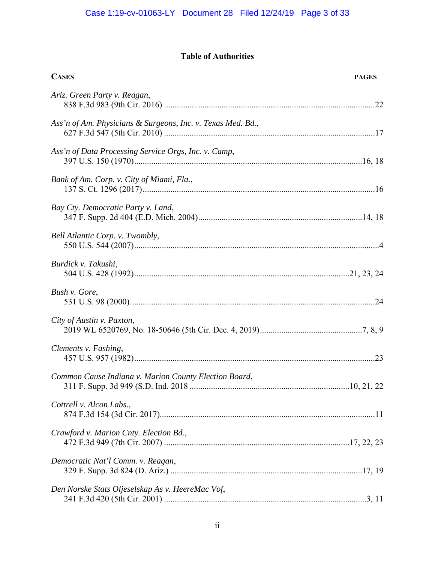## **Table of Authorities**

| <b>CASES</b>                                                | <b>PAGES</b> |
|-------------------------------------------------------------|--------------|
| Ariz. Green Party v. Reagan,                                |              |
| Ass'n of Am. Physicians & Surgeons, Inc. v. Texas Med. Bd., |              |
| Ass'n of Data Processing Service Orgs, Inc. v. Camp,        |              |
| Bank of Am. Corp. v. City of Miami, Fla.,                   |              |
| Bay Cty. Democratic Party v. Land,                          |              |
| Bell Atlantic Corp. v. Twombly,                             |              |
| Burdick v. Takushi,                                         |              |
| Bush v. Gore,                                               |              |
| City of Austin v. Paxton,                                   |              |
| Clements v. Fashing,                                        |              |
| Common Cause Indiana v. Marion County Election Board,       |              |
| Cottrell v. Alcon Labs.,                                    |              |
| Crawford v. Marion Cnty. Election Bd.,                      |              |
| Democratic Nat'l Comm. v. Reagan,                           |              |
| Den Norske Stats Oljeselskap As v. HeereMac Vof,            |              |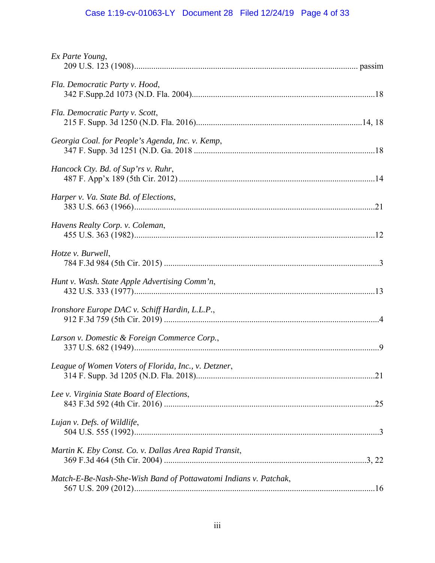# Case 1:19-cv-01063-LY Document 28 Filed 12/24/19 Page 4 of 33

| Ex Parte Young,                                                  |  |
|------------------------------------------------------------------|--|
| Fla. Democratic Party v. Hood,                                   |  |
| Fla. Democratic Party v. Scott,                                  |  |
| Georgia Coal. for People's Agenda, Inc. v. Kemp,                 |  |
| Hancock Cty. Bd. of Sup'rs v. Ruhr,                              |  |
| Harper v. Va. State Bd. of Elections,                            |  |
| Havens Realty Corp. v. Coleman,                                  |  |
| Hotze v. Burwell,                                                |  |
| Hunt v. Wash. State Apple Advertising Comm'n,                    |  |
| Ironshore Europe DAC v. Schiff Hardin, L.L.P.,                   |  |
| Larson v. Domestic & Foreign Commerce Corp.,                     |  |
| League of Women Voters of Florida, Inc., v. Detzner,             |  |
| Lee v. Virginia State Board of Elections,                        |  |
| Lujan v. Defs. of Wildlife,                                      |  |
| Martin K. Eby Const. Co. v. Dallas Area Rapid Transit,           |  |
| Match-E-Be-Nash-She-Wish Band of Pottawatomi Indians v. Patchak, |  |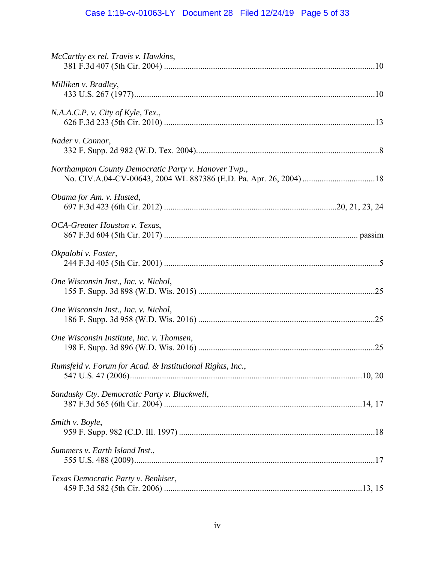# Case 1:19-cv-01063-LY Document 28 Filed 12/24/19 Page 5 of 33

| McCarthy ex rel. Travis v. Hawkins,                       |  |
|-----------------------------------------------------------|--|
| Milliken v. Bradley,                                      |  |
| N.A.A.C.P. v. City of Kyle, Tex.,                         |  |
| Nader v. Connor,                                          |  |
| Northampton County Democratic Party v. Hanover Twp.,      |  |
| Obama for Am. v. Husted,                                  |  |
| OCA-Greater Houston v. Texas,                             |  |
| Okpalobi v. Foster,                                       |  |
| One Wisconsin Inst., Inc. v. Nichol,                      |  |
| One Wisconsin Inst., Inc. v. Nichol,                      |  |
| One Wisconsin Institute, Inc. v. Thomsen,                 |  |
| Rumsfeld v. Forum for Acad. & Institutional Rights, Inc., |  |
| Sandusky Cty. Democratic Party v. Blackwell,              |  |
| Smith v. Boyle,                                           |  |
| Summers v. Earth Island Inst.,                            |  |
| Texas Democratic Party v. Benkiser,                       |  |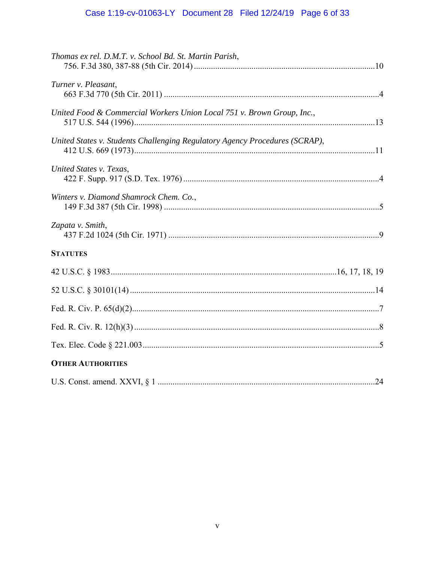# Case 1:19-cv-01063-LY Document 28 Filed 12/24/19 Page 6 of 33

| Thomas ex rel. D.M.T. v. School Bd. St. Martin Parish,                      |
|-----------------------------------------------------------------------------|
| Turner v. Pleasant,                                                         |
| United Food & Commercial Workers Union Local 751 v. Brown Group, Inc.,      |
| United States v. Students Challenging Regulatory Agency Procedures (SCRAP), |
| United States v. Texas,                                                     |
| Winters v. Diamond Shamrock Chem. Co.,                                      |
| Zapata v. Smith,                                                            |
| <b>STATUTES</b>                                                             |
|                                                                             |
|                                                                             |
|                                                                             |
|                                                                             |
|                                                                             |
| <b>OTHER AUTHORITIES</b>                                                    |
|                                                                             |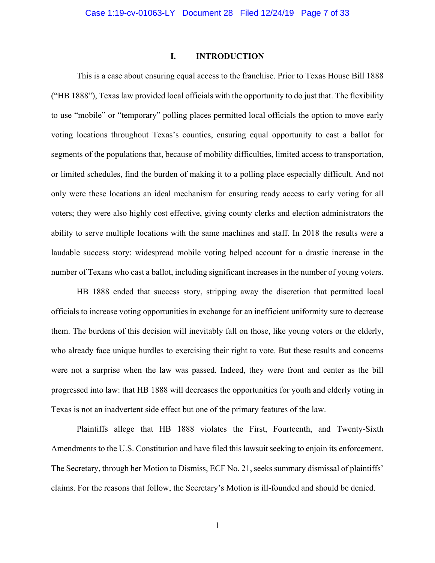#### **I. INTRODUCTION**

This is a case about ensuring equal access to the franchise. Prior to Texas House Bill 1888 ("HB 1888"), Texas law provided local officials with the opportunity to do just that. The flexibility to use "mobile" or "temporary" polling places permitted local officials the option to move early voting locations throughout Texas's counties, ensuring equal opportunity to cast a ballot for segments of the populations that, because of mobility difficulties, limited access to transportation, or limited schedules, find the burden of making it to a polling place especially difficult. And not only were these locations an ideal mechanism for ensuring ready access to early voting for all voters; they were also highly cost effective, giving county clerks and election administrators the ability to serve multiple locations with the same machines and staff. In 2018 the results were a laudable success story: widespread mobile voting helped account for a drastic increase in the number of Texans who cast a ballot, including significant increases in the number of young voters.

 HB 1888 ended that success story, stripping away the discretion that permitted local officials to increase voting opportunities in exchange for an inefficient uniformity sure to decrease them. The burdens of this decision will inevitably fall on those, like young voters or the elderly, who already face unique hurdles to exercising their right to vote. But these results and concerns were not a surprise when the law was passed. Indeed, they were front and center as the bill progressed into law: that HB 1888 will decreases the opportunities for youth and elderly voting in Texas is not an inadvertent side effect but one of the primary features of the law.

 Plaintiffs allege that HB 1888 violates the First, Fourteenth, and Twenty-Sixth Amendments to the U.S. Constitution and have filed this lawsuit seeking to enjoin its enforcement. The Secretary, through her Motion to Dismiss, ECF No. 21, seeks summary dismissal of plaintiffs' claims. For the reasons that follow, the Secretary's Motion is ill-founded and should be denied.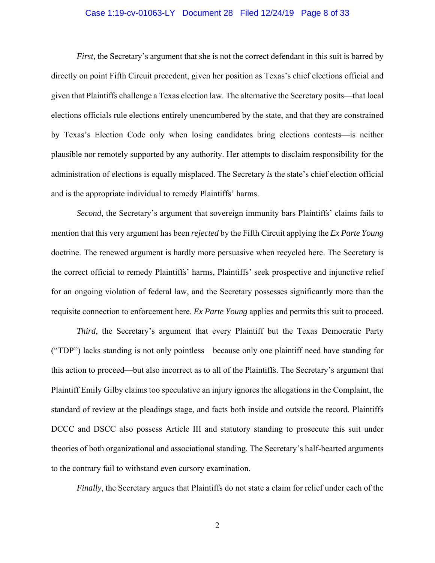#### Case 1:19-cv-01063-LY Document 28 Filed 12/24/19 Page 8 of 33

*First*, the Secretary's argument that she is not the correct defendant in this suit is barred by directly on point Fifth Circuit precedent, given her position as Texas's chief elections official and given that Plaintiffs challenge a Texas election law. The alternative the Secretary posits—that local elections officials rule elections entirely unencumbered by the state, and that they are constrained by Texas's Election Code only when losing candidates bring elections contests—is neither plausible nor remotely supported by any authority. Her attempts to disclaim responsibility for the administration of elections is equally misplaced. The Secretary *is* the state's chief election official and is the appropriate individual to remedy Plaintiffs' harms.

*Second*, the Secretary's argument that sovereign immunity bars Plaintiffs' claims fails to mention that this very argument has been *rejected* by the Fifth Circuit applying the *Ex Parte Young*  doctrine. The renewed argument is hardly more persuasive when recycled here. The Secretary is the correct official to remedy Plaintiffs' harms, Plaintiffs' seek prospective and injunctive relief for an ongoing violation of federal law, and the Secretary possesses significantly more than the requisite connection to enforcement here. *Ex Parte Young* applies and permits this suit to proceed.

*Third*, the Secretary's argument that every Plaintiff but the Texas Democratic Party ("TDP") lacks standing is not only pointless—because only one plaintiff need have standing for this action to proceed—but also incorrect as to all of the Plaintiffs. The Secretary's argument that Plaintiff Emily Gilby claims too speculative an injury ignores the allegations in the Complaint, the standard of review at the pleadings stage, and facts both inside and outside the record. Plaintiffs DCCC and DSCC also possess Article III and statutory standing to prosecute this suit under theories of both organizational and associational standing. The Secretary's half-hearted arguments to the contrary fail to withstand even cursory examination.

*Finally*, the Secretary argues that Plaintiffs do not state a claim for relief under each of the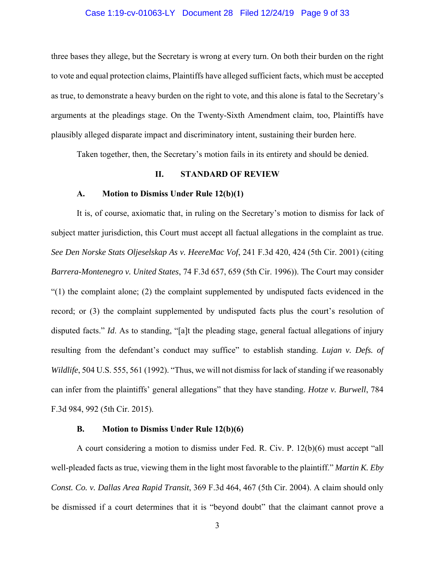#### Case 1:19-cv-01063-LY Document 28 Filed 12/24/19 Page 9 of 33

three bases they allege, but the Secretary is wrong at every turn. On both their burden on the right to vote and equal protection claims, Plaintiffs have alleged sufficient facts, which must be accepted as true, to demonstrate a heavy burden on the right to vote, and this alone is fatal to the Secretary's arguments at the pleadings stage. On the Twenty-Sixth Amendment claim, too, Plaintiffs have plausibly alleged disparate impact and discriminatory intent, sustaining their burden here.

Taken together, then, the Secretary's motion fails in its entirety and should be denied.

#### **II. STANDARD OF REVIEW**

#### **A. Motion to Dismiss Under Rule 12(b)(1)**

It is, of course, axiomatic that, in ruling on the Secretary's motion to dismiss for lack of subject matter jurisdiction, this Court must accept all factual allegations in the complaint as true. *See Den Norske Stats Oljeselskap As v. HeereMac Vof*, 241 F.3d 420, 424 (5th Cir. 2001) (citing *Barrera-Montenegro v. United States*, 74 F.3d 657, 659 (5th Cir. 1996)). The Court may consider  $(1)$  the complaint alone; (2) the complaint supplemented by undisputed facts evidenced in the record; or (3) the complaint supplemented by undisputed facts plus the court's resolution of disputed facts." *Id*. As to standing, "[a]t the pleading stage, general factual allegations of injury resulting from the defendant's conduct may suffice" to establish standing. *Lujan v. Defs. of Wildlife*, 504 U.S. 555, 561 (1992). "Thus, we will not dismiss for lack of standing if we reasonably can infer from the plaintiffs' general allegations" that they have standing. *Hotze v. Burwell*, 784 F.3d 984, 992 (5th Cir. 2015).

#### **B. Motion to Dismiss Under Rule 12(b)(6)**

 A court considering a motion to dismiss under Fed. R. Civ. P. 12(b)(6) must accept "all well-pleaded facts as true, viewing them in the light most favorable to the plaintiff." *Martin K. Eby Const. Co. v. Dallas Area Rapid Transit*, 369 F.3d 464, 467 (5th Cir. 2004). A claim should only be dismissed if a court determines that it is "beyond doubt" that the claimant cannot prove a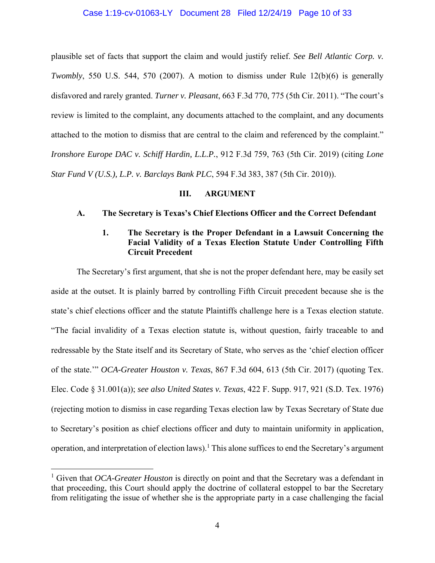#### Case 1:19-cv-01063-LY Document 28 Filed 12/24/19 Page 10 of 33

plausible set of facts that support the claim and would justify relief. *See Bell Atlantic Corp. v. Twombly*, 550 U.S. 544, 570 (2007). A motion to dismiss under Rule 12(b)(6) is generally disfavored and rarely granted. *Turner v. Pleasant*, 663 F.3d 770, 775 (5th Cir. 2011). "The court's review is limited to the complaint, any documents attached to the complaint, and any documents attached to the motion to dismiss that are central to the claim and referenced by the complaint." *Ironshore Europe DAC v. Schiff Hardin, L.L.P.*, 912 F.3d 759, 763 (5th Cir. 2019) (citing *Lone Star Fund V (U.S.), L.P. v. Barclays Bank PLC*, 594 F.3d 383, 387 (5th Cir. 2010)).

#### **III. ARGUMENT**

#### **A. The Secretary is Texas's Chief Elections Officer and the Correct Defendant**

## **1. The Secretary is the Proper Defendant in a Lawsuit Concerning the Facial Validity of a Texas Election Statute Under Controlling Fifth Circuit Precedent**

The Secretary's first argument, that she is not the proper defendant here, may be easily set aside at the outset. It is plainly barred by controlling Fifth Circuit precedent because she is the state's chief elections officer and the statute Plaintiffs challenge here is a Texas election statute. "The facial invalidity of a Texas election statute is, without question, fairly traceable to and redressable by the State itself and its Secretary of State, who serves as the 'chief election officer of the state.'" *OCA-Greater Houston v. Texas*, 867 F.3d 604, 613 (5th Cir. 2017) (quoting Tex. Elec. Code § 31.001(a)); *see also United States v. Texas*, 422 F. Supp. 917, 921 (S.D. Tex. 1976) (rejecting motion to dismiss in case regarding Texas election law by Texas Secretary of State due to Secretary's position as chief elections officer and duty to maintain uniformity in application, operation, and interpretation of election laws).<sup>1</sup> This alone suffices to end the Secretary's argument

<sup>&</sup>lt;sup>1</sup> Given that *OCA-Greater Houston* is directly on point and that the Secretary was a defendant in that proceeding, this Court should apply the doctrine of collateral estoppel to bar the Secretary from relitigating the issue of whether she is the appropriate party in a case challenging the facial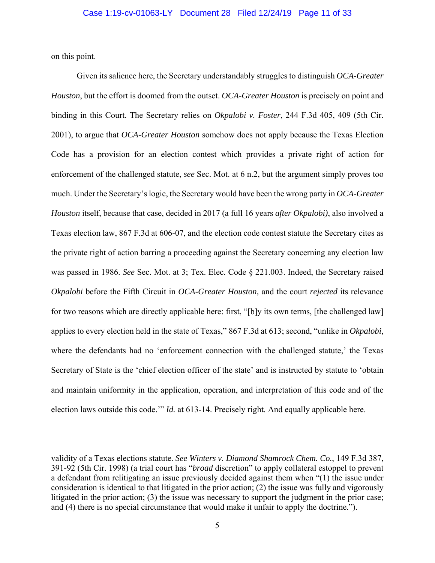on this point.

 Given its salience here, the Secretary understandably struggles to distinguish *OCA-Greater Houston*, but the effort is doomed from the outset. *OCA-Greater Houston* is precisely on point and binding in this Court. The Secretary relies on *Okpalobi v. Foster*, 244 F.3d 405, 409 (5th Cir. 2001), to argue that *OCA-Greater Houston* somehow does not apply because the Texas Election Code has a provision for an election contest which provides a private right of action for enforcement of the challenged statute, *see* Sec. Mot. at 6 n.2, but the argument simply proves too much. Under the Secretary's logic, the Secretary would have been the wrong party in *OCA-Greater Houston* itself, because that case, decided in 2017 (a full 16 years *after Okpalobi)*, also involved a Texas election law, 867 F.3d at 606-07, and the election code contest statute the Secretary cites as the private right of action barring a proceeding against the Secretary concerning any election law was passed in 1986. *See* Sec. Mot. at 3; Tex. Elec. Code § 221.003. Indeed, the Secretary raised *Okpalobi* before the Fifth Circuit in *OCA-Greater Houston,* and the court *rejected* its relevance for two reasons which are directly applicable here: first, "[b]y its own terms, [the challenged law] applies to every election held in the state of Texas," 867 F.3d at 613; second, "unlike in *Okpalobi*, where the defendants had no 'enforcement connection with the challenged statute,' the Texas Secretary of State is the 'chief election officer of the state' and is instructed by statute to 'obtain and maintain uniformity in the application, operation, and interpretation of this code and of the election laws outside this code.'" *Id.* at 613-14. Precisely right. And equally applicable here.

validity of a Texas elections statute. *See Winters v. Diamond Shamrock Chem. Co.*, 149 F.3d 387, 391-92 (5th Cir. 1998) (a trial court has "*broad* discretion" to apply collateral estoppel to prevent a defendant from relitigating an issue previously decided against them when "(1) the issue under consideration is identical to that litigated in the prior action; (2) the issue was fully and vigorously litigated in the prior action; (3) the issue was necessary to support the judgment in the prior case; and (4) there is no special circumstance that would make it unfair to apply the doctrine.").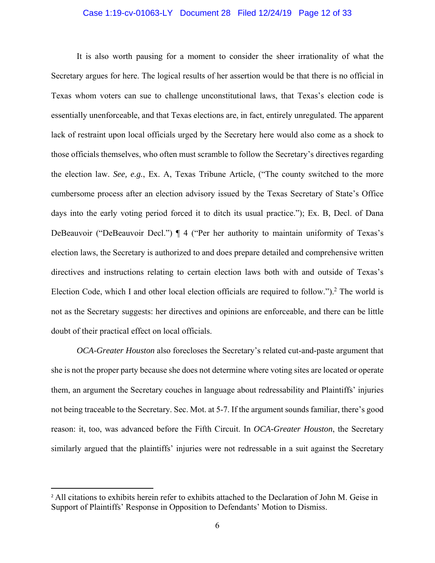#### Case 1:19-cv-01063-LY Document 28 Filed 12/24/19 Page 12 of 33

 It is also worth pausing for a moment to consider the sheer irrationality of what the Secretary argues for here. The logical results of her assertion would be that there is no official in Texas whom voters can sue to challenge unconstitutional laws, that Texas's election code is essentially unenforceable, and that Texas elections are, in fact, entirely unregulated. The apparent lack of restraint upon local officials urged by the Secretary here would also come as a shock to those officials themselves, who often must scramble to follow the Secretary's directives regarding the election law. *See, e.g.*, Ex. A, Texas Tribune Article, ("The county switched to the more cumbersome process after an election advisory issued by the Texas Secretary of State's Office days into the early voting period forced it to ditch its usual practice."); Ex. B, Decl. of Dana DeBeauvoir ("DeBeauvoir Decl.") ¶ 4 ("Per her authority to maintain uniformity of Texas's election laws, the Secretary is authorized to and does prepare detailed and comprehensive written directives and instructions relating to certain election laws both with and outside of Texas's Election Code, which I and other local election officials are required to follow.").<sup>2</sup> The world is not as the Secretary suggests: her directives and opinions are enforceable, and there can be little doubt of their practical effect on local officials.

*OCA-Greater Houston* also forecloses the Secretary's related cut-and-paste argument that she is not the proper party because she does not determine where voting sites are located or operate them, an argument the Secretary couches in language about redressability and Plaintiffs' injuries not being traceable to the Secretary. Sec. Mot. at 5-7. If the argument sounds familiar, there's good reason: it, too, was advanced before the Fifth Circuit. In *OCA-Greater Houston*, the Secretary similarly argued that the plaintiffs' injuries were not redressable in a suit against the Secretary

<sup>&</sup>lt;sup>2</sup> All citations to exhibits herein refer to exhibits attached to the Declaration of John M. Geise in Support of Plaintiffs' Response in Opposition to Defendants' Motion to Dismiss.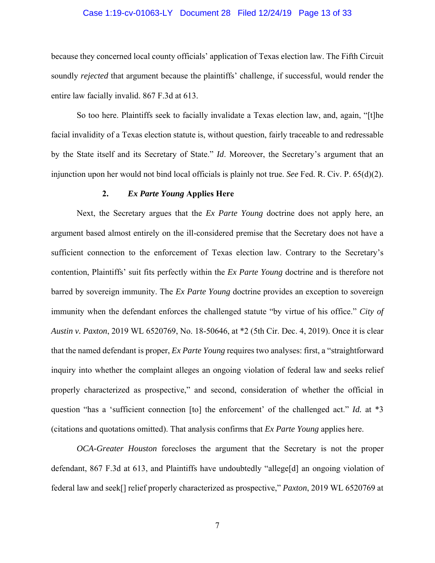#### Case 1:19-cv-01063-LY Document 28 Filed 12/24/19 Page 13 of 33

because they concerned local county officials' application of Texas election law. The Fifth Circuit soundly *rejected* that argument because the plaintiffs' challenge, if successful, would render the entire law facially invalid. 867 F.3d at 613.

 So too here. Plaintiffs seek to facially invalidate a Texas election law, and, again, "[t]he facial invalidity of a Texas election statute is, without question, fairly traceable to and redressable by the State itself and its Secretary of State." *Id*. Moreover, the Secretary's argument that an injunction upon her would not bind local officials is plainly not true. *See* Fed. R. Civ. P. 65(d)(2).

#### **2.** *Ex Parte Young* **Applies Here**

Next, the Secretary argues that the *Ex Parte Young* doctrine does not apply here, an argument based almost entirely on the ill-considered premise that the Secretary does not have a sufficient connection to the enforcement of Texas election law. Contrary to the Secretary's contention, Plaintiffs' suit fits perfectly within the *Ex Parte Young* doctrine and is therefore not barred by sovereign immunity. The *Ex Parte Young* doctrine provides an exception to sovereign immunity when the defendant enforces the challenged statute "by virtue of his office." *City of Austin v. Paxton*, 2019 WL 6520769, No. 18-50646, at \*2 (5th Cir. Dec. 4, 2019). Once it is clear that the named defendant is proper, *Ex Parte Young* requires two analyses: first, a "straightforward inquiry into whether the complaint alleges an ongoing violation of federal law and seeks relief properly characterized as prospective," and second, consideration of whether the official in question "has a 'sufficient connection [to] the enforcement' of the challenged act." *Id.* at \*3 (citations and quotations omitted). That analysis confirms that *Ex Parte Young* applies here.

*OCA-Greater Houston* forecloses the argument that the Secretary is not the proper defendant, 867 F.3d at 613, and Plaintiffs have undoubtedly "allege[d] an ongoing violation of federal law and seek[] relief properly characterized as prospective," *Paxton*, 2019 WL 6520769 at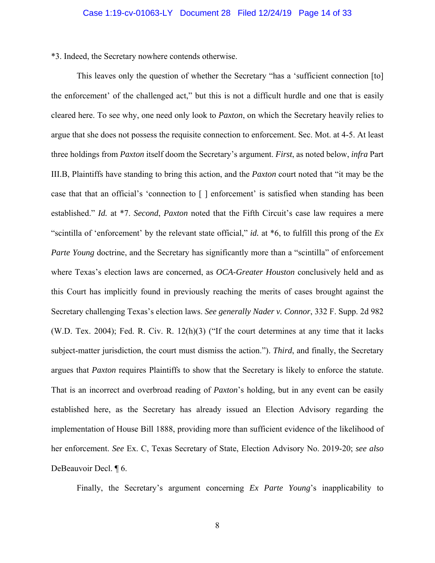\*3. Indeed, the Secretary nowhere contends otherwise.

 This leaves only the question of whether the Secretary "has a 'sufficient connection [to] the enforcement' of the challenged act," but this is not a difficult hurdle and one that is easily cleared here. To see why, one need only look to *Paxton*, on which the Secretary heavily relies to argue that she does not possess the requisite connection to enforcement. Sec. Mot. at 4-5. At least three holdings from *Paxton* itself doom the Secretary's argument. *First*, as noted below, *infra* Part III.B, Plaintiffs have standing to bring this action, and the *Paxton* court noted that "it may be the case that that an official's 'connection to [ ] enforcement' is satisfied when standing has been established." *Id.* at \*7. *Second*, *Paxton* noted that the Fifth Circuit's case law requires a mere "scintilla of 'enforcement' by the relevant state official," *id.* at \*6, to fulfill this prong of the *Ex Parte Young doctrine, and the Secretary has significantly more than a "scintilla" of enforcement* where Texas's election laws are concerned, as *OCA-Greater Houston* conclusively held and as this Court has implicitly found in previously reaching the merits of cases brought against the Secretary challenging Texas's election laws. *See generally Nader v. Connor*, 332 F. Supp. 2d 982 (W.D. Tex. 2004); Fed. R. Civ. R. 12(h)(3) ("If the court determines at any time that it lacks subject-matter jurisdiction, the court must dismiss the action."). *Third*, and finally, the Secretary argues that *Paxton* requires Plaintiffs to show that the Secretary is likely to enforce the statute. That is an incorrect and overbroad reading of *Paxton*'s holding, but in any event can be easily established here, as the Secretary has already issued an Election Advisory regarding the implementation of House Bill 1888, providing more than sufficient evidence of the likelihood of her enforcement. *See* Ex. C, Texas Secretary of State, Election Advisory No. 2019-20; *see also* DeBeauvoir Decl. ¶ 6.

Finally, the Secretary's argument concerning *Ex Parte Young*'s inapplicability to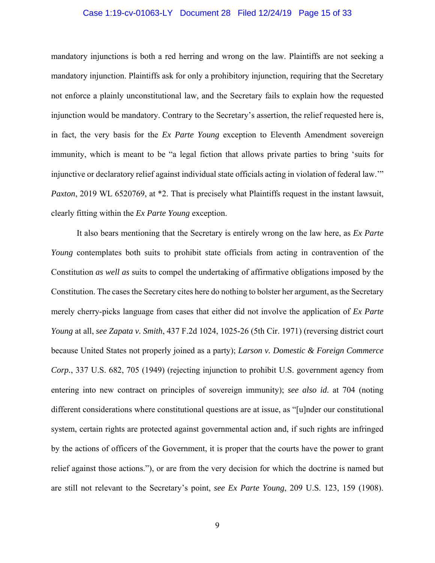#### Case 1:19-cv-01063-LY Document 28 Filed 12/24/19 Page 15 of 33

mandatory injunctions is both a red herring and wrong on the law. Plaintiffs are not seeking a mandatory injunction. Plaintiffs ask for only a prohibitory injunction, requiring that the Secretary not enforce a plainly unconstitutional law, and the Secretary fails to explain how the requested injunction would be mandatory. Contrary to the Secretary's assertion, the relief requested here is, in fact, the very basis for the *Ex Parte Young* exception to Eleventh Amendment sovereign immunity, which is meant to be "a legal fiction that allows private parties to bring 'suits for injunctive or declaratory relief against individual state officials acting in violation of federal law.'" *Paxton*, 2019 WL 6520769, at  $*2$ . That is precisely what Plaintiffs request in the instant lawsuit, clearly fitting within the *Ex Parte Young* exception.

 It also bears mentioning that the Secretary is entirely wrong on the law here, as *Ex Parte Young* contemplates both suits to prohibit state officials from acting in contravention of the Constitution *as well as* suits to compel the undertaking of affirmative obligations imposed by the Constitution. The cases the Secretary cites here do nothing to bolster her argument, as the Secretary merely cherry-picks language from cases that either did not involve the application of *Ex Parte Young* at all, *see Zapata v. Smith*, 437 F.2d 1024, 1025-26 (5th Cir. 1971) (reversing district court because United States not properly joined as a party); *Larson v. Domestic & Foreign Commerce Corp.*, 337 U.S. 682, 705 (1949) (rejecting injunction to prohibit U.S. government agency from entering into new contract on principles of sovereign immunity); *see also id*. at 704 (noting different considerations where constitutional questions are at issue, as "[u]nder our constitutional system, certain rights are protected against governmental action and, if such rights are infringed by the actions of officers of the Government, it is proper that the courts have the power to grant relief against those actions."), or are from the very decision for which the doctrine is named but are still not relevant to the Secretary's point, *see Ex Parte Young*, 209 U.S. 123, 159 (1908).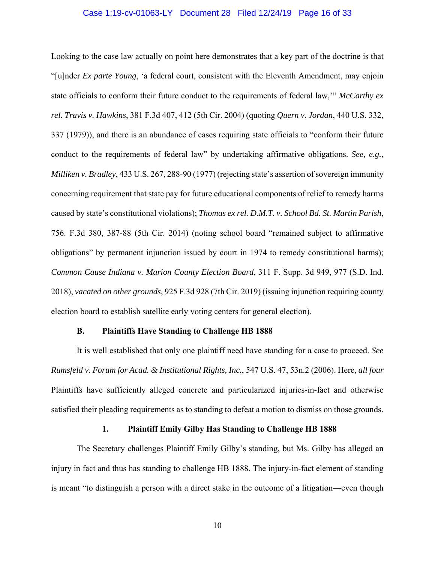#### Case 1:19-cv-01063-LY Document 28 Filed 12/24/19 Page 16 of 33

Looking to the case law actually on point here demonstrates that a key part of the doctrine is that "[u]nder *Ex parte Young*, 'a federal court, consistent with the Eleventh Amendment, may enjoin state officials to conform their future conduct to the requirements of federal law,'" *McCarthy ex rel. Travis v. Hawkins*, 381 F.3d 407, 412 (5th Cir. 2004) (quoting *Quern v. Jordan*, 440 U.S. 332, 337 (1979)), and there is an abundance of cases requiring state officials to "conform their future conduct to the requirements of federal law" by undertaking affirmative obligations. *See, e.g.*, *Milliken v. Bradley*, 433 U.S. 267, 288-90 (1977) (rejecting state's assertion of sovereign immunity concerning requirement that state pay for future educational components of relief to remedy harms caused by state's constitutional violations); *Thomas ex rel. D.M.T. v. School Bd. St. Martin Parish*, 756. F.3d 380, 387-88 (5th Cir. 2014) (noting school board "remained subject to affirmative obligations" by permanent injunction issued by court in 1974 to remedy constitutional harms); *Common Cause Indiana v. Marion County Election Board*, 311 F. Supp. 3d 949, 977 (S.D. Ind. 2018), *vacated on other grounds*, 925 F.3d 928 (7th Cir. 2019) (issuing injunction requiring county election board to establish satellite early voting centers for general election).

#### **B. Plaintiffs Have Standing to Challenge HB 1888**

It is well established that only one plaintiff need have standing for a case to proceed. *See Rumsfeld v. Forum for Acad. & Institutional Rights, Inc.*, 547 U.S. 47, 53n.2 (2006). Here, *all four* Plaintiffs have sufficiently alleged concrete and particularized injuries-in-fact and otherwise satisfied their pleading requirements as to standing to defeat a motion to dismiss on those grounds.

#### **1. Plaintiff Emily Gilby Has Standing to Challenge HB 1888**

The Secretary challenges Plaintiff Emily Gilby's standing, but Ms. Gilby has alleged an injury in fact and thus has standing to challenge HB 1888. The injury-in-fact element of standing is meant "to distinguish a person with a direct stake in the outcome of a litigation—even though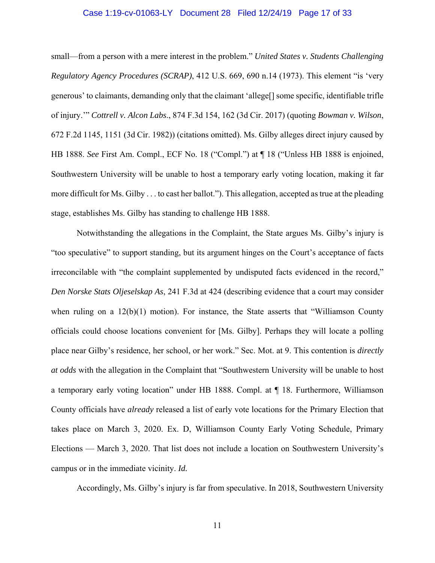#### Case 1:19-cv-01063-LY Document 28 Filed 12/24/19 Page 17 of 33

small—from a person with a mere interest in the problem." *United States v. Students Challenging Regulatory Agency Procedures (SCRAP)*, 412 U.S. 669, 690 n.14 (1973). This element "is 'very generous' to claimants, demanding only that the claimant 'allege[] some specific, identifiable trifle of injury.'" *Cottrell v. Alcon Labs*., 874 F.3d 154, 162 (3d Cir. 2017) (quoting *Bowman v. Wilson*, 672 F.2d 1145, 1151 (3d Cir. 1982)) (citations omitted). Ms. Gilby alleges direct injury caused by HB 1888. *See* First Am. Compl., ECF No. 18 ("Compl.") at ¶ 18 ("Unless HB 1888 is enjoined, Southwestern University will be unable to host a temporary early voting location, making it far more difficult for Ms. Gilby . . . to cast her ballot."). This allegation, accepted as true at the pleading stage, establishes Ms. Gilby has standing to challenge HB 1888.

Notwithstanding the allegations in the Complaint, the State argues Ms. Gilby's injury is "too speculative" to support standing, but its argument hinges on the Court's acceptance of facts irreconcilable with "the complaint supplemented by undisputed facts evidenced in the record," *Den Norske Stats Oljeselskap As*, 241 F.3d at 424 (describing evidence that a court may consider when ruling on a 12(b)(1) motion). For instance, the State asserts that "Williamson County officials could choose locations convenient for [Ms. Gilby]. Perhaps they will locate a polling place near Gilby's residence, her school, or her work." Sec. Mot. at 9. This contention is *directly at odds* with the allegation in the Complaint that "Southwestern University will be unable to host a temporary early voting location" under HB 1888. Compl. at ¶ 18. Furthermore, Williamson County officials have *already* released a list of early vote locations for the Primary Election that takes place on March 3, 2020. Ex. D, Williamson County Early Voting Schedule, Primary Elections — March 3, 2020. That list does not include a location on Southwestern University's campus or in the immediate vicinity. *Id.*

Accordingly, Ms. Gilby's injury is far from speculative. In 2018, Southwestern University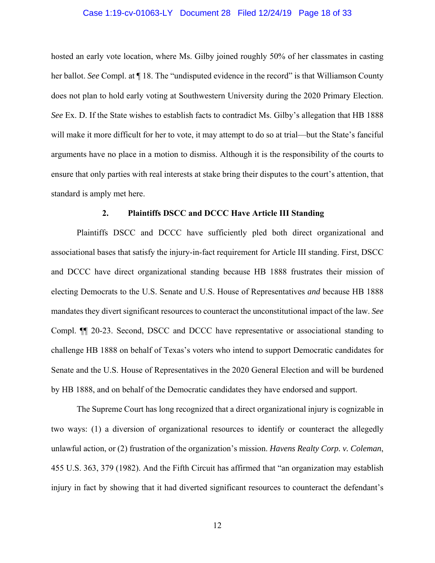#### Case 1:19-cv-01063-LY Document 28 Filed 12/24/19 Page 18 of 33

hosted an early vote location, where Ms. Gilby joined roughly 50% of her classmates in casting her ballot. *See* Compl. at ¶ 18. The "undisputed evidence in the record" is that Williamson County does not plan to hold early voting at Southwestern University during the 2020 Primary Election. *See* Ex. D. If the State wishes to establish facts to contradict Ms. Gilby's allegation that HB 1888 will make it more difficult for her to vote, it may attempt to do so at trial—but the State's fanciful arguments have no place in a motion to dismiss. Although it is the responsibility of the courts to ensure that only parties with real interests at stake bring their disputes to the court's attention, that standard is amply met here.

#### **2. Plaintiffs DSCC and DCCC Have Article III Standing**

Plaintiffs DSCC and DCCC have sufficiently pled both direct organizational and associational bases that satisfy the injury-in-fact requirement for Article III standing. First, DSCC and DCCC have direct organizational standing because HB 1888 frustrates their mission of electing Democrats to the U.S. Senate and U.S. House of Representatives *and* because HB 1888 mandates they divert significant resources to counteract the unconstitutional impact of the law. *See* Compl. ¶¶ 20-23. Second, DSCC and DCCC have representative or associational standing to challenge HB 1888 on behalf of Texas's voters who intend to support Democratic candidates for Senate and the U.S. House of Representatives in the 2020 General Election and will be burdened by HB 1888, and on behalf of the Democratic candidates they have endorsed and support.

The Supreme Court has long recognized that a direct organizational injury is cognizable in two ways: (1) a diversion of organizational resources to identify or counteract the allegedly unlawful action, or (2) frustration of the organization's mission. *Havens Realty Corp. v. Coleman*, 455 U.S. 363, 379 (1982). And the Fifth Circuit has affirmed that "an organization may establish injury in fact by showing that it had diverted significant resources to counteract the defendant's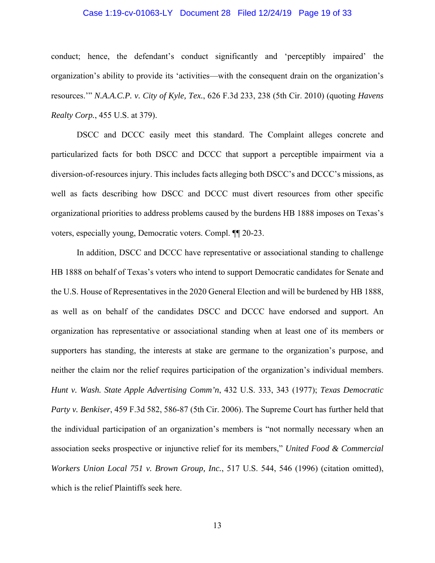#### Case 1:19-cv-01063-LY Document 28 Filed 12/24/19 Page 19 of 33

conduct; hence, the defendant's conduct significantly and 'perceptibly impaired' the organization's ability to provide its 'activities—with the consequent drain on the organization's resources.'" *N.A.A.C.P. v. City of Kyle, Tex.*, 626 F.3d 233, 238 (5th Cir. 2010) (quoting *Havens Realty Corp.*, 455 U.S. at 379).

DSCC and DCCC easily meet this standard. The Complaint alleges concrete and particularized facts for both DSCC and DCCC that support a perceptible impairment via a diversion-of-resources injury. This includes facts alleging both DSCC's and DCCC's missions, as well as facts describing how DSCC and DCCC must divert resources from other specific organizational priorities to address problems caused by the burdens HB 1888 imposes on Texas's voters, especially young, Democratic voters. Compl. ¶¶ 20-23.

In addition, DSCC and DCCC have representative or associational standing to challenge HB 1888 on behalf of Texas's voters who intend to support Democratic candidates for Senate and the U.S. House of Representatives in the 2020 General Election and will be burdened by HB 1888, as well as on behalf of the candidates DSCC and DCCC have endorsed and support. An organization has representative or associational standing when at least one of its members or supporters has standing, the interests at stake are germane to the organization's purpose, and neither the claim nor the relief requires participation of the organization's individual members. *Hunt v. Wash. State Apple Advertising Comm'n*, 432 U.S. 333, 343 (1977); *Texas Democratic Party v. Benkiser*, 459 F.3d 582, 586-87 (5th Cir. 2006). The Supreme Court has further held that the individual participation of an organization's members is "not normally necessary when an association seeks prospective or injunctive relief for its members," *United Food & Commercial Workers Union Local 751 v. Brown Group, Inc.*, 517 U.S. 544, 546 (1996) (citation omitted), which is the relief Plaintiffs seek here.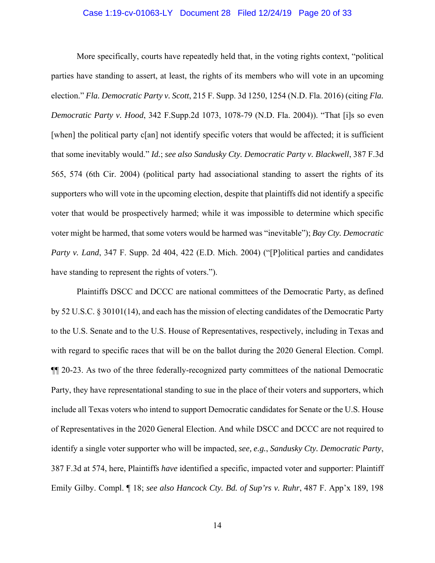#### Case 1:19-cv-01063-LY Document 28 Filed 12/24/19 Page 20 of 33

More specifically, courts have repeatedly held that, in the voting rights context, "political parties have standing to assert, at least, the rights of its members who will vote in an upcoming election." *Fla. Democratic Party v. Scott*, 215 F. Supp. 3d 1250, 1254 (N.D. Fla. 2016) (citing *Fla. Democratic Party v. Hood*, 342 F.Supp.2d 1073, 1078-79 (N.D. Fla. 2004)). "That [i]s so even [when] the political party c[an] not identify specific voters that would be affected; it is sufficient that some inevitably would." *Id.*; *see also Sandusky Cty. Democratic Party v. Blackwell*, 387 F.3d 565, 574 (6th Cir. 2004) (political party had associational standing to assert the rights of its supporters who will vote in the upcoming election, despite that plaintiffs did not identify a specific voter that would be prospectively harmed; while it was impossible to determine which specific voter might be harmed, that some voters would be harmed was "inevitable"); *Bay Cty. Democratic Party v. Land*, 347 F. Supp. 2d 404, 422 (E.D. Mich. 2004) ("[P]olitical parties and candidates have standing to represent the rights of voters.").

Plaintiffs DSCC and DCCC are national committees of the Democratic Party, as defined by 52 U.S.C. § 30101(14), and each has the mission of electing candidates of the Democratic Party to the U.S. Senate and to the U.S. House of Representatives, respectively, including in Texas and with regard to specific races that will be on the ballot during the 2020 General Election. Compl. ¶¶ 20-23. As two of the three federally-recognized party committees of the national Democratic Party, they have representational standing to sue in the place of their voters and supporters, which include all Texas voters who intend to support Democratic candidates for Senate or the U.S. House of Representatives in the 2020 General Election. And while DSCC and DCCC are not required to identify a single voter supporter who will be impacted, *see, e.g.*, *Sandusky Cty. Democratic Party*, 387 F.3d at 574, here, Plaintiffs *have* identified a specific, impacted voter and supporter: Plaintiff Emily Gilby. Compl. ¶ 18; *see also Hancock Cty. Bd. of Sup'rs v. Ruhr*, 487 F. App'x 189, 198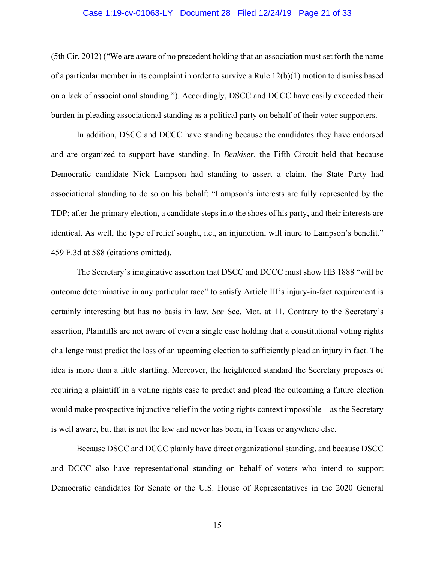#### Case 1:19-cv-01063-LY Document 28 Filed 12/24/19 Page 21 of 33

(5th Cir. 2012) ("We are aware of no precedent holding that an association must set forth the name of a particular member in its complaint in order to survive a Rule 12(b)(1) motion to dismiss based on a lack of associational standing."). Accordingly, DSCC and DCCC have easily exceeded their burden in pleading associational standing as a political party on behalf of their voter supporters.

In addition, DSCC and DCCC have standing because the candidates they have endorsed and are organized to support have standing. In *Benkiser*, the Fifth Circuit held that because Democratic candidate Nick Lampson had standing to assert a claim, the State Party had associational standing to do so on his behalf: "Lampson's interests are fully represented by the TDP; after the primary election, a candidate steps into the shoes of his party, and their interests are identical. As well, the type of relief sought, i.e., an injunction, will inure to Lampson's benefit." 459 F.3d at 588 (citations omitted).

The Secretary's imaginative assertion that DSCC and DCCC must show HB 1888 "will be outcome determinative in any particular race" to satisfy Article III's injury-in-fact requirement is certainly interesting but has no basis in law. *See* Sec. Mot. at 11. Contrary to the Secretary's assertion, Plaintiffs are not aware of even a single case holding that a constitutional voting rights challenge must predict the loss of an upcoming election to sufficiently plead an injury in fact. The idea is more than a little startling. Moreover, the heightened standard the Secretary proposes of requiring a plaintiff in a voting rights case to predict and plead the outcoming a future election would make prospective injunctive relief in the voting rights context impossible—as the Secretary is well aware, but that is not the law and never has been, in Texas or anywhere else.

Because DSCC and DCCC plainly have direct organizational standing, and because DSCC and DCCC also have representational standing on behalf of voters who intend to support Democratic candidates for Senate or the U.S. House of Representatives in the 2020 General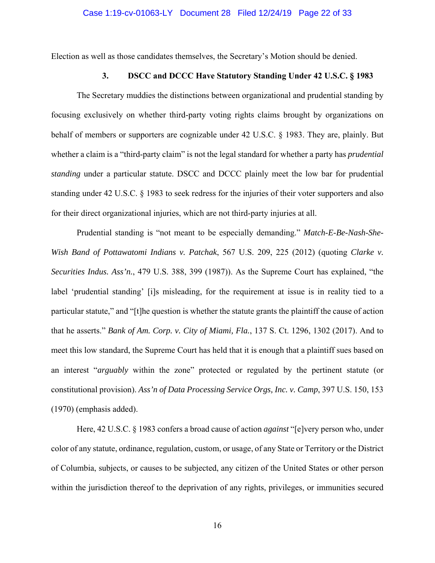Election as well as those candidates themselves, the Secretary's Motion should be denied.

## **3. DSCC and DCCC Have Statutory Standing Under 42 U.S.C. § 1983**

The Secretary muddies the distinctions between organizational and prudential standing by focusing exclusively on whether third-party voting rights claims brought by organizations on behalf of members or supporters are cognizable under 42 U.S.C. § 1983. They are, plainly. But whether a claim is a "third-party claim" is not the legal standard for whether a party has *prudential standing* under a particular statute. DSCC and DCCC plainly meet the low bar for prudential standing under 42 U.S.C. § 1983 to seek redress for the injuries of their voter supporters and also for their direct organizational injuries, which are not third-party injuries at all.

Prudential standing is "not meant to be especially demanding." *Match-E-Be-Nash-She-Wish Band of Pottawatomi Indians v. Patchak*, 567 U.S. 209, 225 (2012) (quoting *Clarke v. Securities Indus. Ass'n.*, 479 U.S. 388, 399 (1987)). As the Supreme Court has explained, "the label 'prudential standing' [i]s misleading, for the requirement at issue is in reality tied to a particular statute," and "[t]he question is whether the statute grants the plaintiff the cause of action that he asserts." *Bank of Am. Corp. v. City of Miami, Fla.*, 137 S. Ct. 1296, 1302 (2017). And to meet this low standard, the Supreme Court has held that it is enough that a plaintiff sues based on an interest "*arguably* within the zone" protected or regulated by the pertinent statute (or constitutional provision). *Ass'n of Data Processing Service Orgs, Inc. v. Camp*, 397 U.S. 150, 153 (1970) (emphasis added).

Here, 42 U.S.C. § 1983 confers a broad cause of action *against* "[e]very person who, under color of any statute, ordinance, regulation, custom, or usage, of any State or Territory or the District of Columbia, subjects, or causes to be subjected, any citizen of the United States or other person within the jurisdiction thereof to the deprivation of any rights, privileges, or immunities secured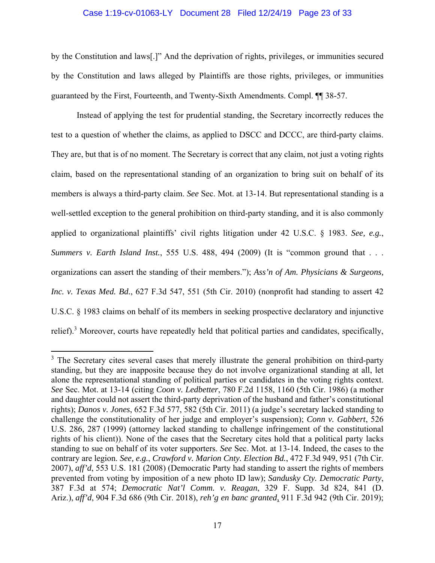#### Case 1:19-cv-01063-LY Document 28 Filed 12/24/19 Page 23 of 33

by the Constitution and laws[.]" And the deprivation of rights, privileges, or immunities secured by the Constitution and laws alleged by Plaintiffs are those rights, privileges, or immunities guaranteed by the First, Fourteenth, and Twenty-Sixth Amendments. Compl. ¶¶ 38-57.

Instead of applying the test for prudential standing, the Secretary incorrectly reduces the test to a question of whether the claims, as applied to DSCC and DCCC, are third-party claims. They are, but that is of no moment. The Secretary is correct that any claim, not just a voting rights claim, based on the representational standing of an organization to bring suit on behalf of its members is always a third-party claim. *See* Sec. Mot. at 13-14. But representational standing is a well-settled exception to the general prohibition on third-party standing, and it is also commonly applied to organizational plaintiffs' civil rights litigation under 42 U.S.C. § 1983. *See, e.g.*, *Summers v. Earth Island Inst.*, 555 U.S. 488, 494 (2009) (It is "common ground that . . . organizations can assert the standing of their members."); *Ass'n of Am. Physicians & Surgeons, Inc. v. Texas Med. Bd.*, 627 F.3d 547, 551 (5th Cir. 2010) (nonprofit had standing to assert 42 U.S.C. § 1983 claims on behalf of its members in seeking prospective declaratory and injunctive relief).<sup>3</sup> Moreover, courts have repeatedly held that political parties and candidates, specifically,

<sup>&</sup>lt;sup>3</sup> The Secretary cites several cases that merely illustrate the general prohibition on third-party standing, but they are inapposite because they do not involve organizational standing at all, let alone the representational standing of political parties or candidates in the voting rights context. *See* Sec. Mot. at 13-14 (citing *Coon v. Ledbetter*, 780 F.2d 1158, 1160 (5th Cir. 1986) (a mother and daughter could not assert the third-party deprivation of the husband and father's constitutional rights); *Danos v. Jones*, 652 F.3d 577, 582 (5th Cir. 2011) (a judge's secretary lacked standing to challenge the constitutionality of her judge and employer's suspension); *Conn v. Gabbert*, 526 U.S. 286, 287 (1999) (attorney lacked standing to challenge infringement of the constitutional rights of his client)). None of the cases that the Secretary cites hold that a political party lacks standing to sue on behalf of its voter supporters. *See* Sec. Mot. at 13-14. Indeed, the cases to the contrary are legion. *See, e.g.*, *Crawford v. Marion Cnty. Election Bd.*, 472 F.3d 949, 951 (7th Cir. 2007), *aff'd*, 553 U.S. 181 (2008) (Democratic Party had standing to assert the rights of members prevented from voting by imposition of a new photo ID law); *Sandusky Cty. Democratic Party*, 387 F.3d at 574; *Democratic Nat'l Comm. v. Reagan*, 329 F. Supp. 3d 824, 841 (D. Ariz.), *aff'd*, 904 F.3d 686 (9th Cir. 2018), *reh'g en banc granted*, 911 F.3d 942 (9th Cir. 2019);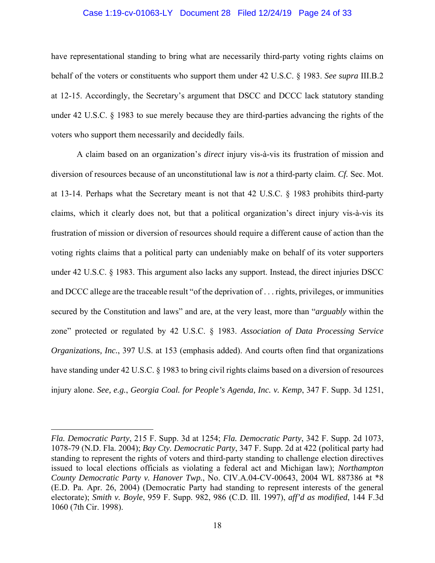#### Case 1:19-cv-01063-LY Document 28 Filed 12/24/19 Page 24 of 33

have representational standing to bring what are necessarily third-party voting rights claims on behalf of the voters or constituents who support them under 42 U.S.C. § 1983. *See supra* III.B.2 at 12-15. Accordingly, the Secretary's argument that DSCC and DCCC lack statutory standing under 42 U.S.C. § 1983 to sue merely because they are third-parties advancing the rights of the voters who support them necessarily and decidedly fails.

A claim based on an organization's *direct* injury vis-à-vis its frustration of mission and diversion of resources because of an unconstitutional law is *not* a third-party claim. *Cf.* Sec. Mot. at 13-14. Perhaps what the Secretary meant is not that 42 U.S.C. § 1983 prohibits third-party claims, which it clearly does not, but that a political organization's direct injury vis-à-vis its frustration of mission or diversion of resources should require a different cause of action than the voting rights claims that a political party can undeniably make on behalf of its voter supporters under 42 U.S.C. § 1983. This argument also lacks any support. Instead, the direct injuries DSCC and DCCC allege are the traceable result "of the deprivation of . . . rights, privileges, or immunities secured by the Constitution and laws" and are, at the very least, more than "*arguably* within the zone" protected or regulated by 42 U.S.C. § 1983. *Association of Data Processing Service Organizations, Inc.*, 397 U.S. at 153 (emphasis added). And courts often find that organizations have standing under 42 U.S.C. § 1983 to bring civil rights claims based on a diversion of resources injury alone. *See, e.g.*, *Georgia Coal. for People's Agenda, Inc. v. Kemp*, 347 F. Supp. 3d 1251,

*Fla. Democratic Party*, 215 F. Supp. 3d at 1254; *Fla. Democratic Party*, 342 F. Supp. 2d 1073, 1078-79 (N.D. Fla. 2004); *Bay Cty. Democratic Party*, 347 F. Supp. 2d at 422 (political party had standing to represent the rights of voters and third-party standing to challenge election directives issued to local elections officials as violating a federal act and Michigan law); *Northampton County Democratic Party v. Hanover Twp.*, No. CIV.A.04-CV-00643, 2004 WL 887386 at \*8 (E.D. Pa. Apr. 26, 2004) (Democratic Party had standing to represent interests of the general electorate); *Smith v. Boyle*, 959 F. Supp. 982, 986 (C.D. Ill. 1997), *aff'd as modified*, 144 F.3d 1060 (7th Cir. 1998).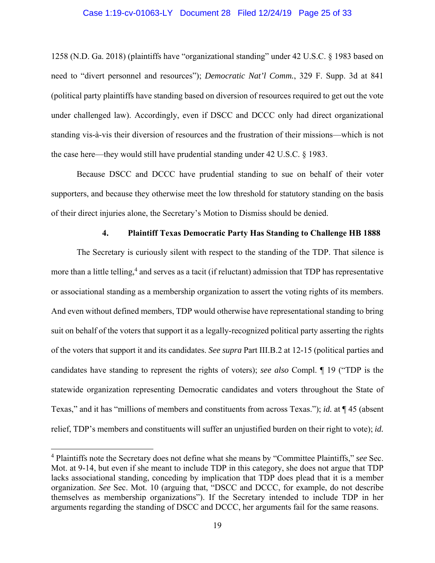#### Case 1:19-cv-01063-LY Document 28 Filed 12/24/19 Page 25 of 33

1258 (N.D. Ga. 2018) (plaintiffs have "organizational standing" under 42 U.S.C. § 1983 based on need to "divert personnel and resources"); *Democratic Nat'l Comm.*, 329 F. Supp. 3d at 841 (political party plaintiffs have standing based on diversion of resources required to get out the vote under challenged law). Accordingly, even if DSCC and DCCC only had direct organizational standing vis-à-vis their diversion of resources and the frustration of their missions—which is not the case here—they would still have prudential standing under 42 U.S.C. § 1983.

Because DSCC and DCCC have prudential standing to sue on behalf of their voter supporters, and because they otherwise meet the low threshold for statutory standing on the basis of their direct injuries alone, the Secretary's Motion to Dismiss should be denied.

### **4. Plaintiff Texas Democratic Party Has Standing to Challenge HB 1888**

The Secretary is curiously silent with respect to the standing of the TDP. That silence is more than a little telling,<sup>4</sup> and serves as a tacit (if reluctant) admission that TDP has representative or associational standing as a membership organization to assert the voting rights of its members. And even without defined members, TDP would otherwise have representational standing to bring suit on behalf of the voters that support it as a legally-recognized political party asserting the rights of the voters that support it and its candidates. *See supra* Part III.B.2 at 12-15 (political parties and candidates have standing to represent the rights of voters); *see also* Compl. ¶ 19 ("TDP is the statewide organization representing Democratic candidates and voters throughout the State of Texas," and it has "millions of members and constituents from across Texas."); *id.* at ¶ 45 (absent relief, TDP's members and constituents will suffer an unjustified burden on their right to vote); *id.*

<sup>4</sup> Plaintiffs note the Secretary does not define what she means by "Committee Plaintiffs," *see* Sec. Mot. at 9-14, but even if she meant to include TDP in this category, she does not argue that TDP lacks associational standing, conceding by implication that TDP does plead that it is a member organization. *See* Sec. Mot. 10 (arguing that, "DSCC and DCCC, for example, do not describe themselves as membership organizations"). If the Secretary intended to include TDP in her arguments regarding the standing of DSCC and DCCC, her arguments fail for the same reasons.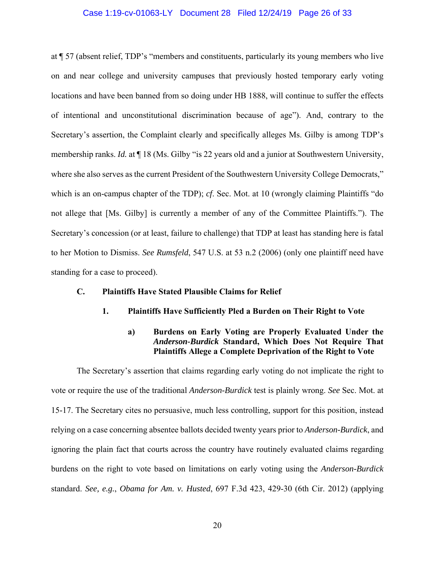#### Case 1:19-cv-01063-LY Document 28 Filed 12/24/19 Page 26 of 33

at ¶ 57 (absent relief, TDP's "members and constituents, particularly its young members who live on and near college and university campuses that previously hosted temporary early voting locations and have been banned from so doing under HB 1888, will continue to suffer the effects of intentional and unconstitutional discrimination because of age"). And, contrary to the Secretary's assertion, the Complaint clearly and specifically alleges Ms. Gilby is among TDP's membership ranks. *Id.* at ¶ 18 (Ms. Gilby "is 22 years old and a junior at Southwestern University, where she also serves as the current President of the Southwestern University College Democrats," which is an on-campus chapter of the TDP); *cf*. Sec. Mot. at 10 (wrongly claiming Plaintiffs "do not allege that [Ms. Gilby] is currently a member of any of the Committee Plaintiffs."). The Secretary's concession (or at least, failure to challenge) that TDP at least has standing here is fatal to her Motion to Dismiss. *See Rumsfeld*, 547 U.S. at 53 n.2 (2006) (only one plaintiff need have standing for a case to proceed).

### **C. Plaintiffs Have Stated Plausible Claims for Relief**

**1. Plaintiffs Have Sufficiently Pled a Burden on Their Right to Vote** 

## **a) Burdens on Early Voting are Properly Evaluated Under the**  *Anderson-Burdick* **Standard, Which Does Not Require That Plaintiffs Allege a Complete Deprivation of the Right to Vote**

 The Secretary's assertion that claims regarding early voting do not implicate the right to vote or require the use of the traditional *Anderson-Burdick* test is plainly wrong. *See* Sec. Mot. at 15-17. The Secretary cites no persuasive, much less controlling, support for this position, instead relying on a case concerning absentee ballots decided twenty years prior to *Anderson-Burdick*, and ignoring the plain fact that courts across the country have routinely evaluated claims regarding burdens on the right to vote based on limitations on early voting using the *Anderson-Burdick*  standard. *See, e.g.*, *Obama for Am. v. Husted*, 697 F.3d 423, 429-30 (6th Cir. 2012) (applying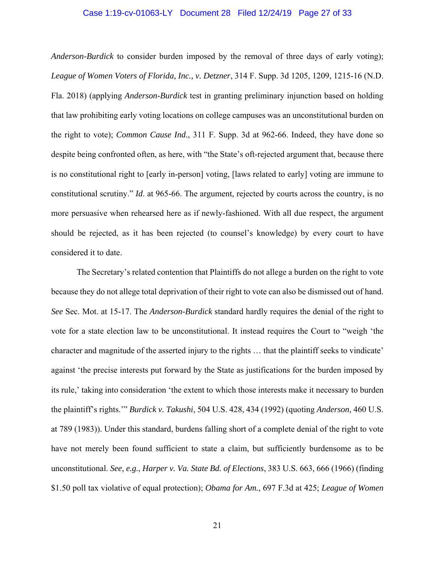#### Case 1:19-cv-01063-LY Document 28 Filed 12/24/19 Page 27 of 33

*Anderson-Burdick* to consider burden imposed by the removal of three days of early voting); *League of Women Voters of Florida, Inc., v. Detzner*, 314 F. Supp. 3d 1205, 1209, 1215-16 (N.D. Fla. 2018) (applying *Anderson-Burdick* test in granting preliminary injunction based on holding that law prohibiting early voting locations on college campuses was an unconstitutional burden on the right to vote); *Common Cause Ind.*, 311 F. Supp. 3d at 962-66. Indeed, they have done so despite being confronted often, as here, with "the State's oft-rejected argument that, because there is no constitutional right to [early in-person] voting, [laws related to early] voting are immune to constitutional scrutiny." *Id*. at 965-66. The argument, rejected by courts across the country, is no more persuasive when rehearsed here as if newly-fashioned. With all due respect, the argument should be rejected, as it has been rejected (to counsel's knowledge) by every court to have considered it to date.

 The Secretary's related contention that Plaintiffs do not allege a burden on the right to vote because they do not allege total deprivation of their right to vote can also be dismissed out of hand. *See* Sec. Mot. at 15-17. The *Anderson-Burdick* standard hardly requires the denial of the right to vote for a state election law to be unconstitutional. It instead requires the Court to "weigh 'the character and magnitude of the asserted injury to the rights … that the plaintiff seeks to vindicate' against 'the precise interests put forward by the State as justifications for the burden imposed by its rule,' taking into consideration 'the extent to which those interests make it necessary to burden the plaintiff's rights.'" *Burdick v. Takushi*, 504 U.S. 428, 434 (1992) (quoting *Anderson*, 460 U.S. at 789 (1983)). Under this standard, burdens falling short of a complete denial of the right to vote have not merely been found sufficient to state a claim, but sufficiently burdensome as to be unconstitutional. *See, e.g.*, *Harper v. Va. State Bd. of Elections*, 383 U.S. 663, 666 (1966) (finding \$1.50 poll tax violative of equal protection); *Obama for Am.*, 697 F.3d at 425; *League of Women*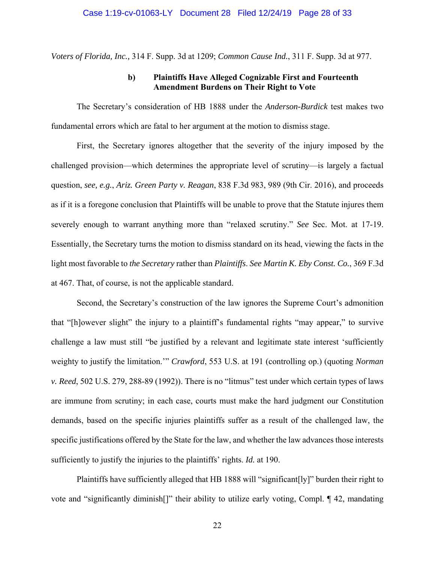*Voters of Florida, Inc.,* 314 F. Supp. 3d at 1209; *Common Cause Ind.*, 311 F. Supp. 3d at 977.

## **b) Plaintiffs Have Alleged Cognizable First and Fourteenth Amendment Burdens on Their Right to Vote**

 The Secretary's consideration of HB 1888 under the *Anderson-Burdick* test makes two fundamental errors which are fatal to her argument at the motion to dismiss stage.

 First, the Secretary ignores altogether that the severity of the injury imposed by the challenged provision—which determines the appropriate level of scrutiny—is largely a factual question, *see, e.g.*, *Ariz. Green Party v. Reagan*, 838 F.3d 983, 989 (9th Cir. 2016), and proceeds as if it is a foregone conclusion that Plaintiffs will be unable to prove that the Statute injures them severely enough to warrant anything more than "relaxed scrutiny." *See* Sec. Mot. at 17-19. Essentially, the Secretary turns the motion to dismiss standard on its head, viewing the facts in the light most favorable to *the Secretary* rather than *Plaintiffs*. *See Martin K. Eby Const. Co.*, 369 F.3d at 467. That, of course, is not the applicable standard.

 Second, the Secretary's construction of the law ignores the Supreme Court's admonition that "[h]owever slight" the injury to a plaintiff's fundamental rights "may appear," to survive challenge a law must still "be justified by a relevant and legitimate state interest 'sufficiently weighty to justify the limitation.'" *Crawford*, 553 U.S. at 191 (controlling op.) (quoting *Norman v. Reed*, 502 U.S. 279, 288-89 (1992)). There is no "litmus" test under which certain types of laws are immune from scrutiny; in each case, courts must make the hard judgment our Constitution demands, based on the specific injuries plaintiffs suffer as a result of the challenged law, the specific justifications offered by the State for the law, and whether the law advances those interests sufficiently to justify the injuries to the plaintiffs' rights. *Id.* at 190.

 Plaintiffs have sufficiently alleged that HB 1888 will "significant[ly]" burden their right to vote and "significantly diminish[]" their ability to utilize early voting, Compl. ¶ 42, mandating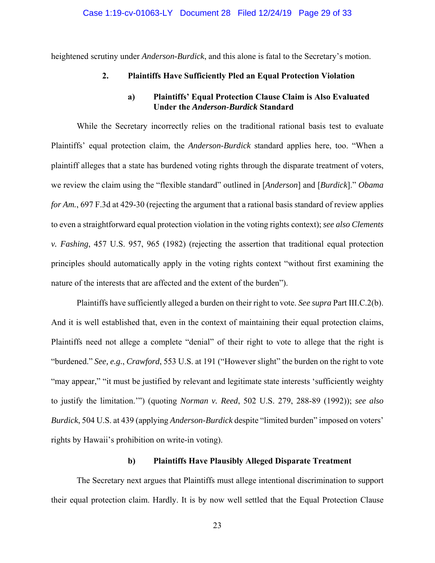heightened scrutiny under *Anderson-Burdick*, and this alone is fatal to the Secretary's motion.

#### **2. Plaintiffs Have Sufficiently Pled an Equal Protection Violation**

## **a) Plaintiffs' Equal Protection Clause Claim is Also Evaluated Under the** *Anderson-Burdick* **Standard**

 While the Secretary incorrectly relies on the traditional rational basis test to evaluate Plaintiffs' equal protection claim, the *Anderson-Burdick* standard applies here, too. "When a plaintiff alleges that a state has burdened voting rights through the disparate treatment of voters, we review the claim using the "flexible standard" outlined in [*Anderson*] and [*Burdick*]." *Obama for Am.*, 697 F.3d at 429-30 (rejecting the argument that a rational basis standard of review applies to even a straightforward equal protection violation in the voting rights context); *see also Clements v. Fashing*, 457 U.S. 957, 965 (1982) (rejecting the assertion that traditional equal protection principles should automatically apply in the voting rights context "without first examining the nature of the interests that are affected and the extent of the burden").

 Plaintiffs have sufficiently alleged a burden on their right to vote. *See supra* Part III.C.2(b). And it is well established that, even in the context of maintaining their equal protection claims, Plaintiffs need not allege a complete "denial" of their right to vote to allege that the right is "burdened." *See, e.g.*, *Crawford*, 553 U.S. at 191 ("However slight" the burden on the right to vote "may appear," "it must be justified by relevant and legitimate state interests 'sufficiently weighty to justify the limitation.'") (quoting *Norman v. Reed*, 502 U.S. 279, 288-89 (1992)); *see also Burdick*, 504 U.S. at 439 (applying *Anderson-Burdick* despite "limited burden" imposed on voters' rights by Hawaii's prohibition on write-in voting).

### **b) Plaintiffs Have Plausibly Alleged Disparate Treatment**

 The Secretary next argues that Plaintiffs must allege intentional discrimination to support their equal protection claim. Hardly. It is by now well settled that the Equal Protection Clause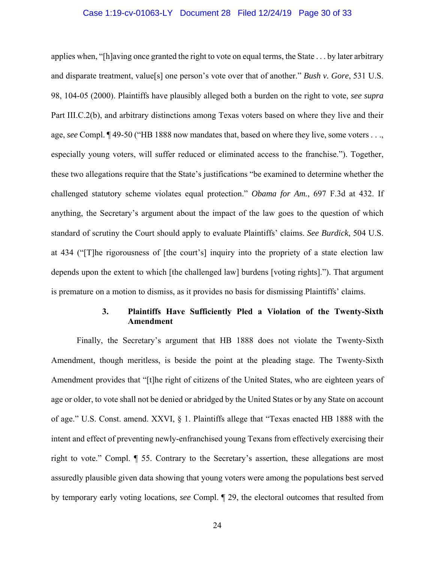#### Case 1:19-cv-01063-LY Document 28 Filed 12/24/19 Page 30 of 33

applies when, "[h]aving once granted the right to vote on equal terms, the State . . . by later arbitrary and disparate treatment, value[s] one person's vote over that of another." *Bush v. Gore*, 531 U.S. 98, 104-05 (2000). Plaintiffs have plausibly alleged both a burden on the right to vote, *see supra*  Part III.C.2(b), and arbitrary distinctions among Texas voters based on where they live and their age, *see* Compl. ¶ 49-50 ("HB 1888 now mandates that, based on where they live, some voters . . ., especially young voters, will suffer reduced or eliminated access to the franchise."). Together, these two allegations require that the State's justifications "be examined to determine whether the challenged statutory scheme violates equal protection." *Obama for Am.*, 697 F.3d at 432. If anything, the Secretary's argument about the impact of the law goes to the question of which standard of scrutiny the Court should apply to evaluate Plaintiffs' claims. *See Burdick*, 504 U.S. at 434 ("[T]he rigorousness of [the court's] inquiry into the propriety of a state election law depends upon the extent to which [the challenged law] burdens [voting rights]."). That argument is premature on a motion to dismiss, as it provides no basis for dismissing Plaintiffs' claims.

## **3. Plaintiffs Have Sufficiently Pled a Violation of the Twenty-Sixth Amendment**

 Finally, the Secretary's argument that HB 1888 does not violate the Twenty-Sixth Amendment, though meritless, is beside the point at the pleading stage. The Twenty-Sixth Amendment provides that "[t]he right of citizens of the United States, who are eighteen years of age or older, to vote shall not be denied or abridged by the United States or by any State on account of age." U.S. Const. amend. XXVI, § 1. Plaintiffs allege that "Texas enacted HB 1888 with the intent and effect of preventing newly-enfranchised young Texans from effectively exercising their right to vote." Compl. ¶ 55. Contrary to the Secretary's assertion, these allegations are most assuredly plausible given data showing that young voters were among the populations best served by temporary early voting locations, *see* Compl. ¶ 29, the electoral outcomes that resulted from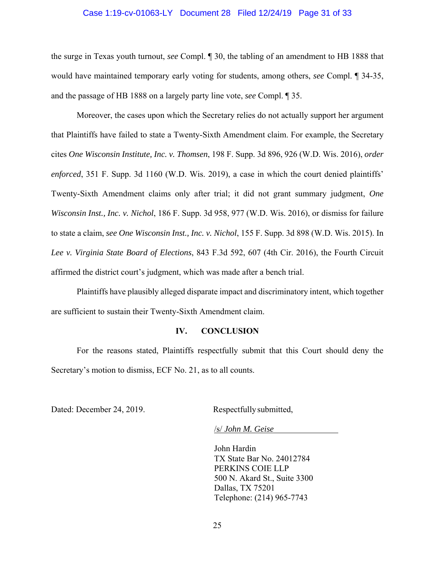#### Case 1:19-cv-01063-LY Document 28 Filed 12/24/19 Page 31 of 33

the surge in Texas youth turnout, *see* Compl. ¶ 30, the tabling of an amendment to HB 1888 that would have maintained temporary early voting for students, among others, *see* Compl. ¶ 34-35, and the passage of HB 1888 on a largely party line vote, *see* Compl. ¶ 35.

 Moreover, the cases upon which the Secretary relies do not actually support her argument that Plaintiffs have failed to state a Twenty-Sixth Amendment claim. For example, the Secretary cites *One Wisconsin Institute, Inc. v. Thomsen*, 198 F. Supp. 3d 896, 926 (W.D. Wis. 2016), *order enforced*, 351 F. Supp. 3d 1160 (W.D. Wis. 2019), a case in which the court denied plaintiffs' Twenty-Sixth Amendment claims only after trial; it did not grant summary judgment, *One Wisconsin Inst., Inc. v. Nichol*, 186 F. Supp. 3d 958, 977 (W.D. Wis. 2016), or dismiss for failure to state a claim, *see One Wisconsin Inst., Inc. v. Nichol*, 155 F. Supp. 3d 898 (W.D. Wis. 2015). In *Lee v. Virginia State Board of Elections*, 843 F.3d 592, 607 (4th Cir. 2016), the Fourth Circuit affirmed the district court's judgment, which was made after a bench trial.

 Plaintiffs have plausibly alleged disparate impact and discriminatory intent, which together are sufficient to sustain their Twenty-Sixth Amendment claim.

#### **IV. CONCLUSION**

For the reasons stated, Plaintiffs respectfully submit that this Court should deny the Secretary's motion to dismiss, ECF No. 21, as to all counts.

Dated: December 24, 2019. Respectfully submitted,

/s/ *John M. Geise*

John Hardin TX State Bar No. 24012784 PERKINS COIE LLP 500 N. Akard St., Suite 3300 Dallas, TX 75201 Telephone: (214) 965-7743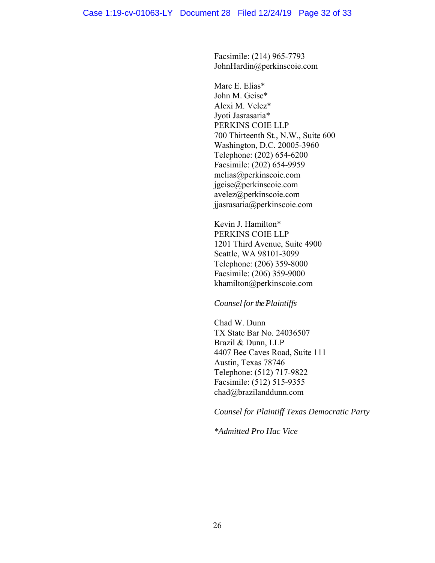Facsimile: (214) 965-7793 JohnHardin@perkinscoie.com

Marc E. Elias\* John M. Geise\* Alexi M. Velez\* Jyoti Jasrasaria\* PERKINS COIE LLP 700 Thirteenth St., N.W., Suite 600 Washington, D.C. 20005-3960 Telephone: (202) 654-6200 Facsimile: (202) 654-9959 melias@perkinscoie.com jgeise@perkinscoie.com avelez@perkinscoie.com jjasrasaria@perkinscoie.com

Kevin J. Hamilton\* PERKINS COIE LLP 1201 Third Avenue, Suite 4900 Seattle, WA 98101-3099 Telephone: (206) 359-8000 Facsimile: (206) 359-9000 khamilton@perkinscoie.com

*Counsel for the Plaintiffs* 

Chad W. Dunn TX State Bar No. 24036507 Brazil & Dunn, LLP 4407 Bee Caves Road, Suite 111 Austin, Texas 78746 Telephone: (512) 717-9822 Facsimile: (512) 515-9355 chad@brazilanddunn.com

*Counsel for Plaintiff Texas Democratic Party* 

*\*Admitted Pro Hac Vice*